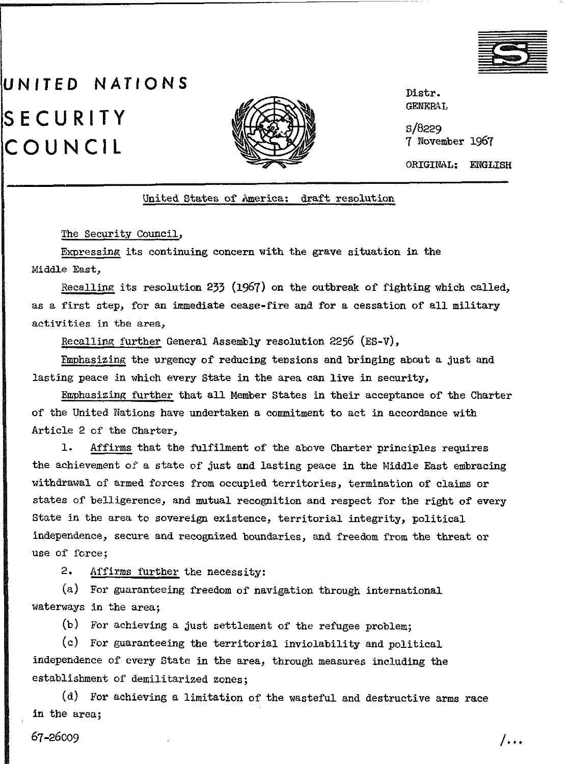

## UNITED NATIONS **SECURITY** COUNCIL



Distr. GRNRRAL

s/a229 7 November 1967

ORIGINAL: ENGLISH

## United States of America: draft resolution

The Security Council.

Expressing its continuing concern with the grave situation in the Middle East,

Recalling its resolution 233 (1967) on the outbreak of fighting which called, as a first step, for an immediate cease-fire and for a cessation of all military activities in the area,

Recalling further General Assembly resolution 2256 (ES-V),

Fmphasizing the urgency of reducing tensions and bringing about a just and lasting peace in which every State in the area can live in security,

Emphasising further that all Member States in their acceptance of the Charter of the United Nations have undertaken a commitment to act in accordance with Article 2 of the Charter,

1. Affirms that the fulfilment of the above Charter principles requires the achievement of a state of just and lasting peace in the Middle East embracing withdrawal of armed forces from occupied territories, termination of claims or states of belligerence, and mutual recognition and respect for the right of every State in the area to sovereign existence, territorial integrity, political independence, secure and recognised boundaries, and freedom from the threat or use of force;

2. Affirms further the necessity:

(a) For guaranteeing freedom of navigation through international waterways in the area;

(b) For achieving a just settlement of the refugee problem;

(C) For guaranteeing the territorial inviolability and political independence of every State in the area, through measures including the establishment of demilitarized zones;

(d) For achieving a limitation of the wasteful and destructive arms race in the area;